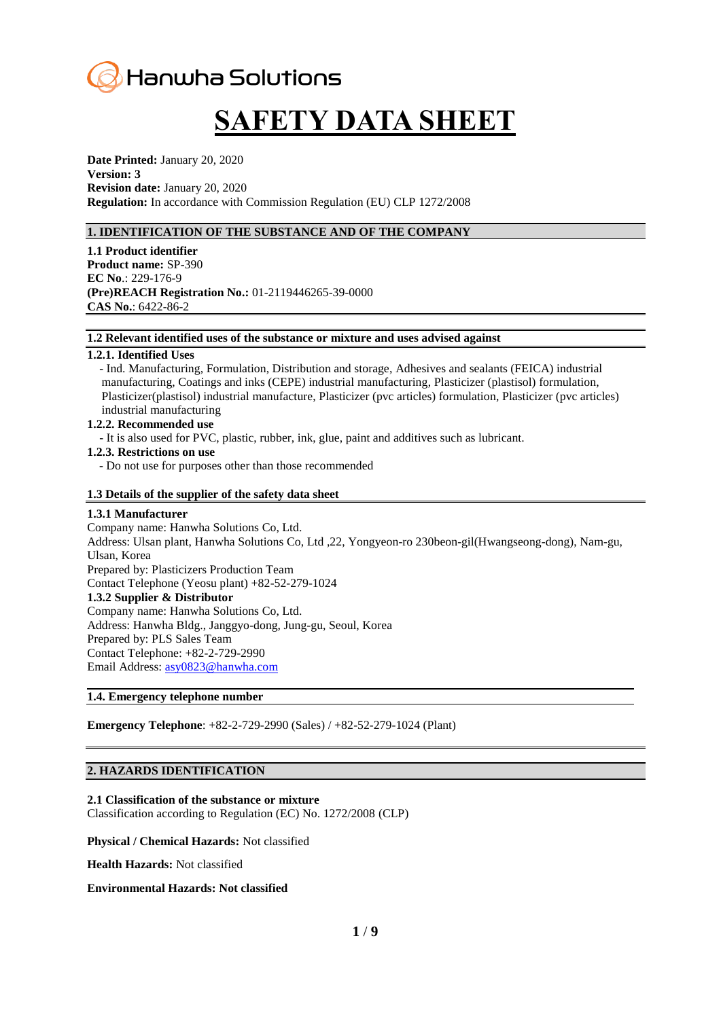# Hanwha Solutions

# **SAFETY DATA SHEET**

**Date Printed:** January 20, 2020 **Version: 3 Revision date:** January 20, 2020 **Regulation:** In accordance with Commission Regulation (EU) CLP 1272/2008

# **1. IDENTIFICATION OF THE SUBSTANCE AND OF THE COMPANY**

**1.1 Product identifier Product name:** SP-390 **EC No**.: 229-176-9 **(Pre)REACH Registration No.:** 01-2119446265-39-0000 **CAS No.**: 6422-86-2

**1.2 Relevant identified uses of the substance or mixture and uses advised against**

## **1.2.1. Identified Uses**

- Ind. Manufacturing, Formulation, Distribution and storage, Adhesives and sealants (FEICA) industrial manufacturing, Coatings and inks (CEPE) industrial manufacturing, Plasticizer (plastisol) formulation, Plasticizer(plastisol) industrial manufacture, Plasticizer (pvc articles) formulation, Plasticizer (pvc articles) industrial manufacturing

#### **1.2.2. Recommended use**

- It is also used for PVC, plastic, rubber, ink, glue, paint and additives such as lubricant.

### **1.2.3. Restrictions on use**

- Do not use for purposes other than those recommended

# **1.3 Details of the supplier of the safety data sheet**

#### **1.3.1 Manufacturer**

Company name: Hanwha Solutions Co, Ltd. Address: Ulsan plant, Hanwha Solutions Co, Ltd ,22, Yongyeon-ro 230beon-gil(Hwangseong-dong), Nam-gu, Ulsan, Korea Prepared by: Plasticizers Production Team Contact Telephone (Yeosu plant) +82-52-279-1024 **1.3.2 Supplier & Distributor** Company name: Hanwha Solutions Co, Ltd. Address: Hanwha Bldg., Janggyo-dong, Jung-gu, Seoul, Korea Prepared by: PLS Sales Team Contact Telephone: +82-2-729-2990 Email Address: [asy0823@hanwha.com](mailto:asy0823@hanwha.com)

# **1.4. Emergency telephone number**

**Emergency Telephone**: +82-2-729-2990 (Sales) / +82-52-279-1024 (Plant)

#### **2. HAZARDS IDENTIFICATION**

## **2.1 Classification of the substance or mixture**

Classification according to Regulation (EC) No. 1272/2008 (CLP)

**Physical / Chemical Hazards:** Not classified

**Health Hazards:** Not classified

#### **Environmental Hazards: Not classified**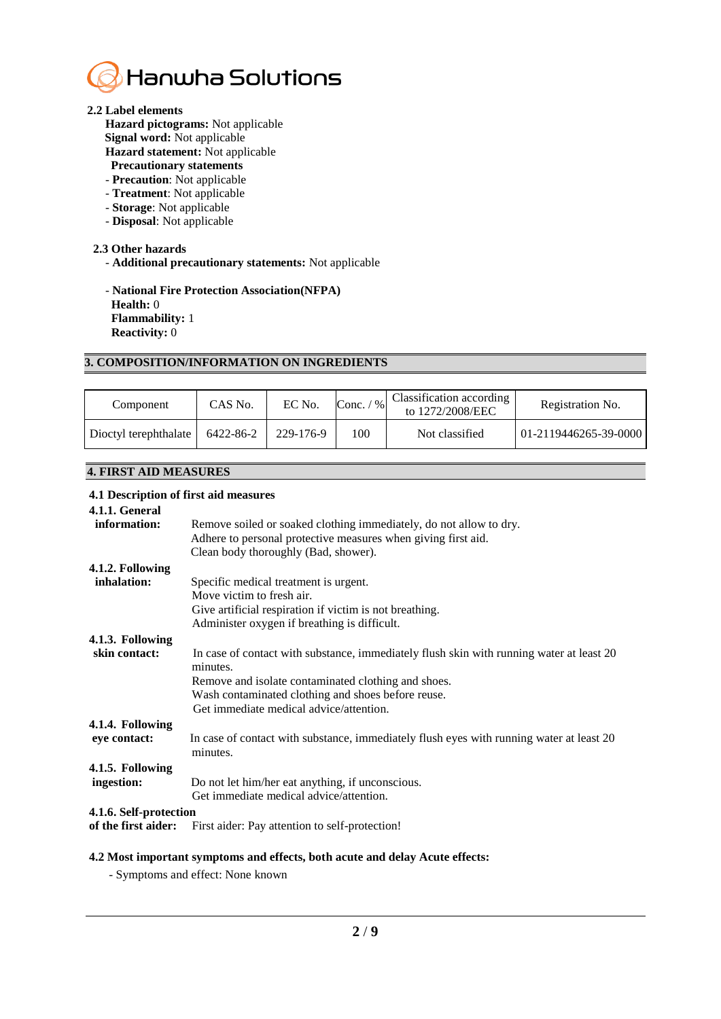

## **2.2 Label elements**

**Hazard pictograms:** Not applicable

- **Signal word:** Not applicable
- **Hazard statement:** Not applicable
- **Precautionary statements**
- **Precaution**: Not applicable
- **Treatment**: Not applicable
- **Storage**: Not applicable
- **Disposal**: Not applicable

# **2.3 Other hazards**

- **Additional precautionary statements:** Not applicable

- **National Fire Protection Association(NFPA) Health:** 0 **Flammability:** 1 **Reactivity:** 0

# **3. COMPOSITION/INFORMATION ON INGREDIENTS**

| Component             | CAS No.   | EC No.    | $Conc.$ /<br>$\frac{9}{6}$ | Classification according<br>to 1272/2008/EEC | Registration No.      |
|-----------------------|-----------|-----------|----------------------------|----------------------------------------------|-----------------------|
| Dioctyl terephthalate | 6422-86-2 | 229-176-9 | 100                        | Not classified                               | 01-2119446265-39-0000 |

# **4. FIRST AID MEASURES**

# **4.1 Description of first aid measures**

| 4.1.1. General         |                                                                                                      |  |  |  |  |
|------------------------|------------------------------------------------------------------------------------------------------|--|--|--|--|
| information:           | Remove soiled or soaked clothing immediately, do not allow to dry.                                   |  |  |  |  |
|                        | Adhere to personal protective measures when giving first aid.                                        |  |  |  |  |
|                        | Clean body thoroughly (Bad, shower).                                                                 |  |  |  |  |
| 4.1.2. Following       |                                                                                                      |  |  |  |  |
| inhalation:            | Specific medical treatment is urgent.                                                                |  |  |  |  |
|                        | Move victim to fresh air.                                                                            |  |  |  |  |
|                        | Give artificial respiration if victim is not breathing.                                              |  |  |  |  |
|                        | Administer oxygen if breathing is difficult.                                                         |  |  |  |  |
| 4.1.3. Following       |                                                                                                      |  |  |  |  |
| skin contact:          | In case of contact with substance, immediately flush skin with running water at least 20<br>minutes. |  |  |  |  |
|                        | Remove and isolate contaminated clothing and shoes.                                                  |  |  |  |  |
|                        | Wash contaminated clothing and shoes before reuse.                                                   |  |  |  |  |
|                        | Get immediate medical advice/attention.                                                              |  |  |  |  |
| 4.1.4. Following       |                                                                                                      |  |  |  |  |
| eye contact:           | In case of contact with substance, immediately flush eyes with running water at least 20<br>minutes. |  |  |  |  |
| 4.1.5. Following       |                                                                                                      |  |  |  |  |
| ingestion:             | Do not let him/her eat anything, if unconscious.                                                     |  |  |  |  |
|                        | Get immediate medical advice/attention.                                                              |  |  |  |  |
| 4.1.6. Self-protection |                                                                                                      |  |  |  |  |
| of the first aider:    | First aider: Pay attention to self-protection!                                                       |  |  |  |  |

# **4.2 Most important symptoms and effects, both acute and delay Acute effects:**

- Symptoms and effect: None known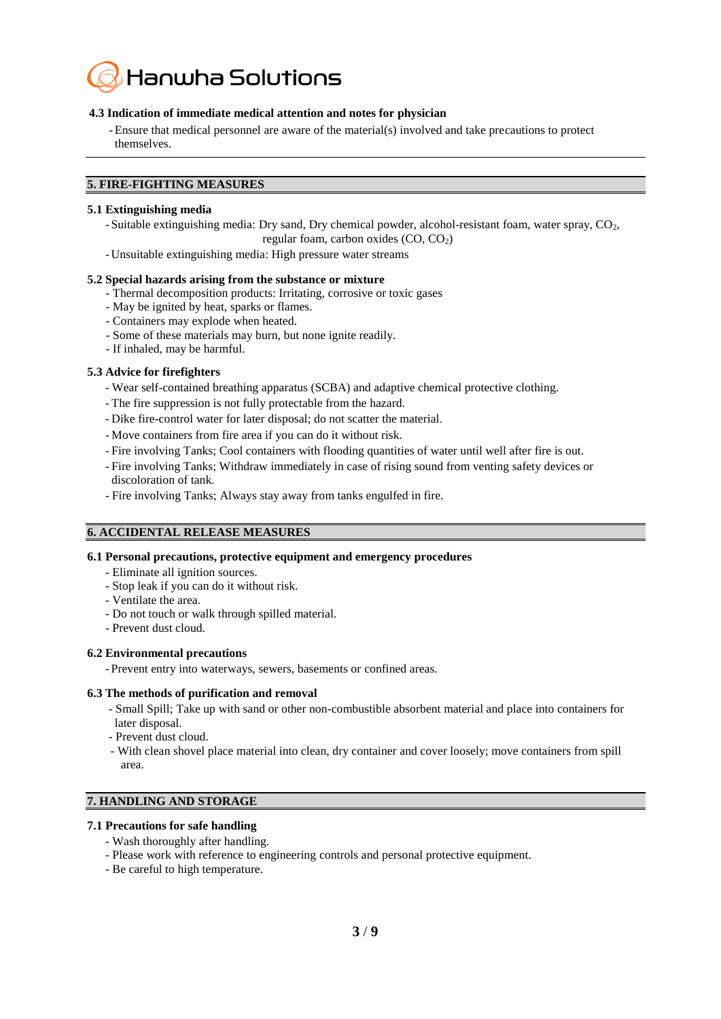

# **4.3 Indication of immediate medical attention and notes for physician**

-Ensure that medical personnel are aware of the material(s) involved and take precautions to protect themselves.

## **5. FIRE-FIGHTING MEASURES**

#### **5.1 Extinguishing media**

- Suitable extinguishing media: Dry sand, Dry chemical powder, alcohol-resistant foam, water spray, CO<sub>2</sub>, regular foam, carbon oxides  $(CO, CO<sub>2</sub>)$ 

- Unsuitable extinguishing media: High pressure water streams

#### **5.2 Special hazards arising from the substance or mixture**

- Thermal decomposition products: Irritating, corrosive or toxic gases
- May be ignited by heat, sparks or flames.
- Containers may explode when heated.
- Some of these materials may burn, but none ignite readily.
- If inhaled, may be harmful.

## **5.3 Advice for firefighters**

- Wear self-contained breathing apparatus (SCBA) and adaptive chemical protective clothing.
- The fire suppression is not fully protectable from the hazard.
- Dike fire-control water for later disposal; do not scatter the material.
- Move containers from fire area if you can do it without risk.
- Fire involving Tanks; Cool containers with flooding quantities of water until well after fire is out.
- Fire involving Tanks; Withdraw immediately in case of rising sound from venting safety devices or discoloration of tank.
- Fire involving Tanks; Always stay away from tanks engulfed in fire.

# **6. ACCIDENTAL RELEASE MEASURES**

#### **6.1 Personal precautions, protective equipment and emergency procedures**

- Eliminate all ignition sources.
- Stop leak if you can do it without risk.
- Ventilate the area.
- Do not touch or walk through spilled material.
- Prevent dust cloud.

#### **6.2 Environmental precautions**

- Prevent entry into waterways, sewers, basements or confined areas.

#### **6.3 The methods of purification and removal**

- Small Spill; Take up with sand or other non-combustible absorbent material and place into containers for later disposal.
- Prevent dust cloud.
- With clean shovel place material into clean, dry container and cover loosely; move containers from spill area.

# **7. HANDLING AND STORAGE**

# **7.1 Precautions for safe handling**

- Wash thoroughly after handling.
- Please work with reference to engineering controls and personal protective equipment.
- Be careful to high temperature.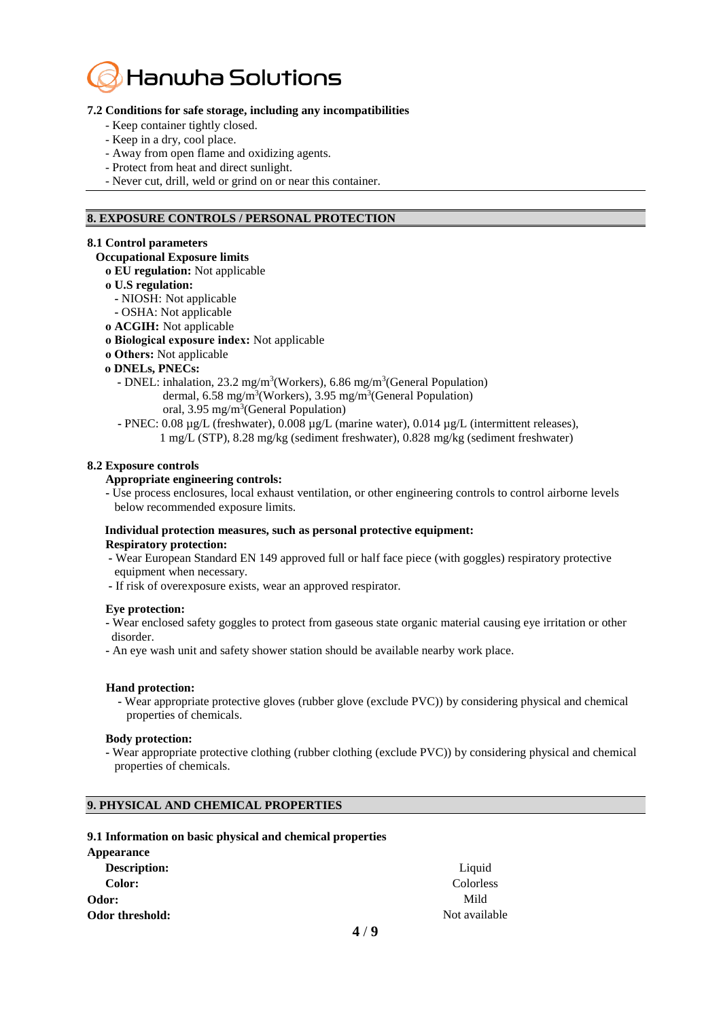

## **7.2 Conditions for safe storage, including any incompatibilities**

- Keep container tightly closed.
- Keep in a dry, cool place.
- Away from open flame and oxidizing agents.
- Protect from heat and direct sunlight.
- Never cut, drill, weld or grind on or near this container.

# **8. EXPOSURE CONTROLS / PERSONAL PROTECTION**

## **8.1 Control parameters**

# **Occupational Exposure limits**

- **ο EU regulation:** Not applicable
- **ο U.S regulation:**
- **-** NIOSH: Not applicable
- **-** OSHA: Not applicable
- **ο ACGIH:** Not applicable
- **ο Biological exposure index:** Not applicable
- **ο Others:** Not applicable
- **ο DNELs, PNECs:**
	- **-** DNEL: inhalation, 23.2 mg/m<sup>3</sup>(Workers), 6.86 mg/m<sup>3</sup>(General Population) dermal, 6.58 mg/m<sup>3</sup>(Workers), 3.95 mg/m<sup>3</sup>(General Population) oral, 3.95 mg/m<sup>3</sup>(General Population)
	- **-** PNEC: 0.08 µg/L (freshwater), 0.008 µg/L (marine water), 0.014 µg/L (intermittent releases), 1 mg/L (STP), 8.28 mg/kg (sediment freshwater), 0.828 mg/kg (sediment freshwater)

## **8.2 Exposure controls**

#### **Appropriate engineering controls:**

 **-** Use process enclosures, local exhaust ventilation, or other engineering controls to control airborne levels below recommended exposure limits.

#### **Individual protection measures, such as personal protective equipment: Respiratory protection:**

- **-** Wear European Standard EN 149 approved full or half face piece (with goggles) respiratory protective equipment when necessary.
- **-** If risk of overexposure exists, wear an approved respirator.

#### **Eye protection:**

- **-** Wear enclosed safety goggles to protect from gaseous state organic material causing eye irritation or other disorder.
- **-** An eye wash unit and safety shower station should be available nearby work place.

#### **Hand protection:**

 **-** Wear appropriate protective gloves (rubber glove (exclude PVC)) by considering physical and chemical properties of chemicals.

#### **Body protection:**

 **-** Wear appropriate protective clothing (rubber clothing (exclude PVC)) by considering physical and chemical properties of chemicals.

# **9. PHYSICAL AND CHEMICAL PROPERTIES**

#### **9.1 Information on basic physical and chemical properties**

| Appearance          |               |
|---------------------|---------------|
| <b>Description:</b> | Liquid        |
| Color:              | Colorless     |
| Odor:               | Mild          |
| Odor threshold:     | Not available |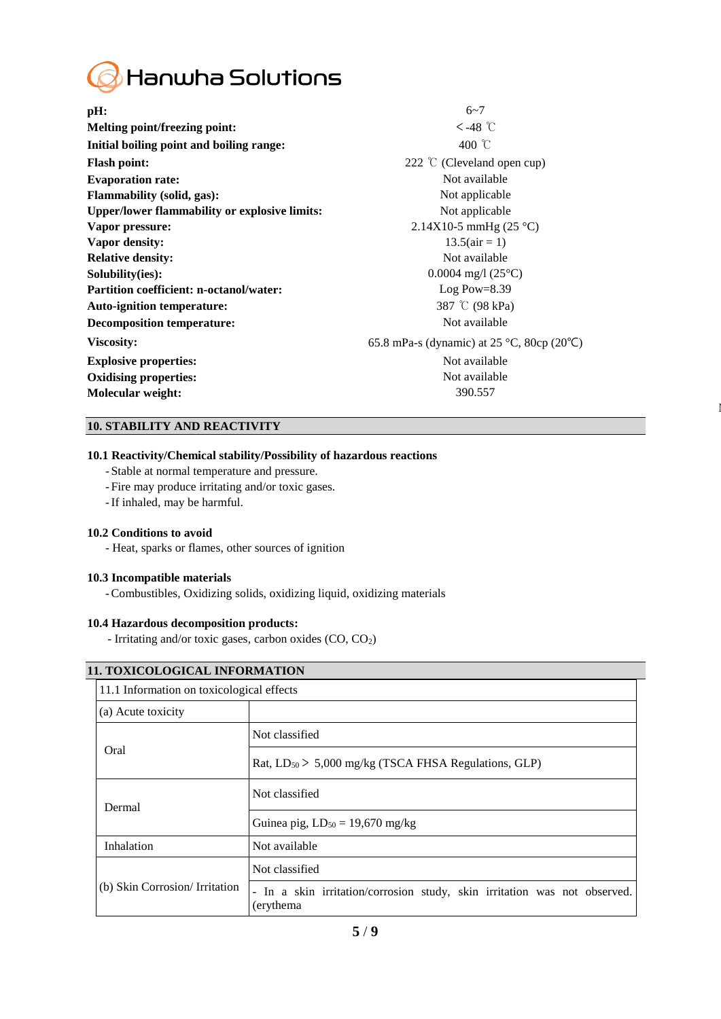

**pH:**  $6~7$ **Melting point/freezing point:**  $\leftarrow$  48 ℃ **Initial boiling point and boiling range:** 400 ℃ **Flash point:** 222 ℃ (Cleveland open cup) **Evaporation rate:** Not available **Flammability (solid, gas):** Not applicable **Upper/lower flammability or explosive limits:** Not applicable **Vapor pressure:** 2.14X10-5 mmHg (25 °C) **Vapor density:** 13.5(air = 1) **Relative density:** Not available **Solubility(ies):** 0.0004 mg/l (25°C) **Partition coefficient: n-octanol/water:** Log Pow=8.39 **Auto-ignition temperature:** 387 ℃ (98 kPa) **Decomposition temperature:** Not available **Viscosity:** 65.8 mPa-s (dynamic) at 25 °C, 80cp (20℃) **Explosive properties:** Not available **Oxidising properties:** Not available **Molecular weight:** 390.557

 $\mathbf l$ 

# **10. STABILITY AND REACTIVITY**

# **10.1 Reactivity/Chemical stability/Possibility of hazardous reactions**

- Stable at normal temperature and pressure.
- Fire may produce irritating and/or toxic gases.
- -If inhaled, may be harmful.

#### **10.2 Conditions to avoid**

- Heat, sparks or flames, other sources of ignition

# **10.3 Incompatible materials**

-Combustibles, Oxidizing solids, oxidizing liquid, oxidizing materials

# **10.4 Hazardous decomposition products:**

- Irritating and/or toxic gases, carbon oxides (CO, CO2)

|  | 11. TOXICOLOGICAL INFORMATION  |                                                                                         |  |  |  |  |
|--|--------------------------------|-----------------------------------------------------------------------------------------|--|--|--|--|
|  |                                | 11.1 Information on toxicological effects                                               |  |  |  |  |
|  | (a) Acute toxicity             |                                                                                         |  |  |  |  |
|  | Oral                           | Not classified                                                                          |  |  |  |  |
|  |                                | Rat, $LD_{50}$ > 5,000 mg/kg (TSCA FHSA Regulations, GLP)                               |  |  |  |  |
|  | Dermal                         | Not classified                                                                          |  |  |  |  |
|  |                                | Guinea pig, $LD_{50} = 19,670$ mg/kg                                                    |  |  |  |  |
|  | Inhalation                     | Not available                                                                           |  |  |  |  |
|  | (b) Skin Corrosion/ Irritation | Not classified                                                                          |  |  |  |  |
|  |                                | - In a skin irritation/corrosion study, skin irritation was not observed.<br>(erythema) |  |  |  |  |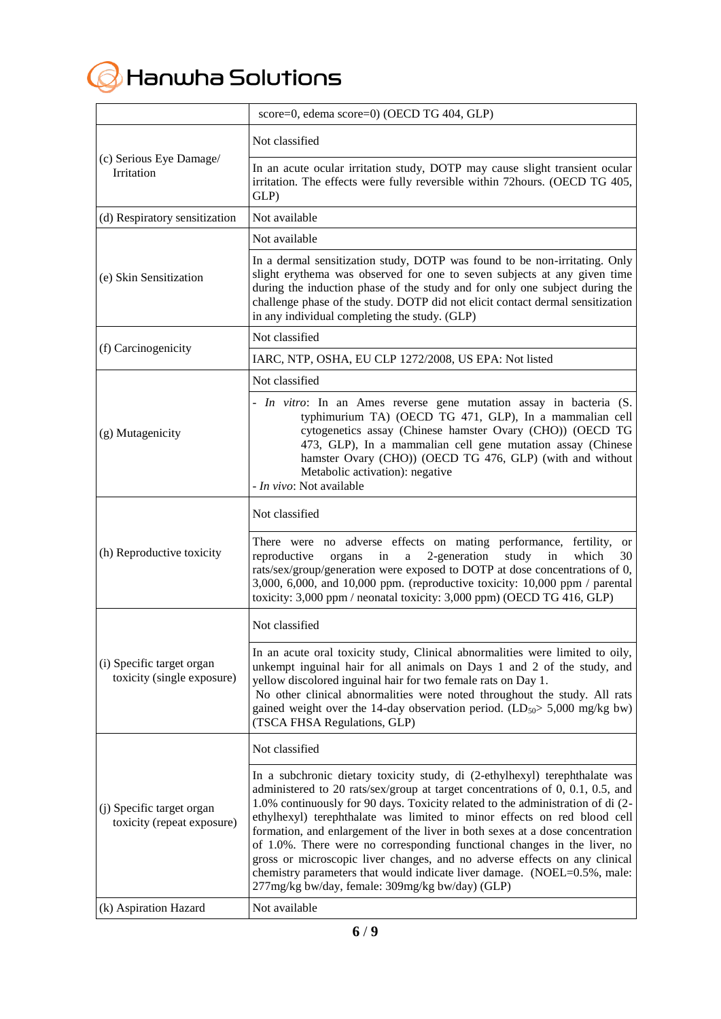

|                                                         | score=0, edema score=0) (OECD TG 404, GLP)                                                                                                                                                                                                                                                                                                                                                                                                                                                                                                                                                                                                                                                             |
|---------------------------------------------------------|--------------------------------------------------------------------------------------------------------------------------------------------------------------------------------------------------------------------------------------------------------------------------------------------------------------------------------------------------------------------------------------------------------------------------------------------------------------------------------------------------------------------------------------------------------------------------------------------------------------------------------------------------------------------------------------------------------|
|                                                         | Not classified                                                                                                                                                                                                                                                                                                                                                                                                                                                                                                                                                                                                                                                                                         |
| (c) Serious Eye Damage/<br>Irritation                   | In an acute ocular irritation study, DOTP may cause slight transient ocular<br>irritation. The effects were fully reversible within 72hours. (OECD TG 405,<br>GLP)                                                                                                                                                                                                                                                                                                                                                                                                                                                                                                                                     |
| (d) Respiratory sensitization                           | Not available                                                                                                                                                                                                                                                                                                                                                                                                                                                                                                                                                                                                                                                                                          |
|                                                         | Not available                                                                                                                                                                                                                                                                                                                                                                                                                                                                                                                                                                                                                                                                                          |
| (e) Skin Sensitization                                  | In a dermal sensitization study, DOTP was found to be non-irritating. Only<br>slight erythema was observed for one to seven subjects at any given time<br>during the induction phase of the study and for only one subject during the<br>challenge phase of the study. DOTP did not elicit contact dermal sensitization<br>in any individual completing the study. (GLP)                                                                                                                                                                                                                                                                                                                               |
|                                                         | Not classified                                                                                                                                                                                                                                                                                                                                                                                                                                                                                                                                                                                                                                                                                         |
| (f) Carcinogenicity                                     | IARC, NTP, OSHA, EU CLP 1272/2008, US EPA: Not listed                                                                                                                                                                                                                                                                                                                                                                                                                                                                                                                                                                                                                                                  |
|                                                         | Not classified                                                                                                                                                                                                                                                                                                                                                                                                                                                                                                                                                                                                                                                                                         |
| (g) Mutagenicity                                        | - In vitro: In an Ames reverse gene mutation assay in bacteria (S.<br>typhimurium TA) (OECD TG 471, GLP), In a mammalian cell<br>cytogenetics assay (Chinese hamster Ovary (CHO)) (OECD TG<br>473, GLP), In a mammalian cell gene mutation assay (Chinese<br>hamster Ovary (CHO)) (OECD TG 476, GLP) (with and without<br>Metabolic activation): negative<br>- In vivo: Not available                                                                                                                                                                                                                                                                                                                  |
|                                                         | Not classified                                                                                                                                                                                                                                                                                                                                                                                                                                                                                                                                                                                                                                                                                         |
| (h) Reproductive toxicity                               | There were no adverse effects on mating performance, fertility,<br><b>or</b><br>2-generation<br>which<br>reproductive<br>study<br>in<br>30<br>organs<br>in<br>$\rm{a}$<br>rats/sex/group/generation were exposed to DOTP at dose concentrations of 0,<br>3,000, 6,000, and 10,000 ppm. (reproductive toxicity: 10,000 ppm / parental<br>toxicity: 3,000 ppm / neonatal toxicity: 3,000 ppm) (OECD TG 416, GLP)                                                                                                                                                                                                                                                                                         |
|                                                         | Not classified                                                                                                                                                                                                                                                                                                                                                                                                                                                                                                                                                                                                                                                                                         |
| (i) Specific target organ<br>toxicity (single exposure) | In an acute oral toxicity study, Clinical abnormalities were limited to oily,<br>unkempt inguinal hair for all animals on Days 1 and 2 of the study, and<br>yellow discolored inguinal hair for two female rats on Day 1.<br>No other clinical abnormalities were noted throughout the study. All rats<br>gained weight over the 14-day observation period. ( $LD_{50}$ > 5,000 mg/kg bw)<br>(TSCA FHSA Regulations, GLP)                                                                                                                                                                                                                                                                              |
|                                                         | Not classified                                                                                                                                                                                                                                                                                                                                                                                                                                                                                                                                                                                                                                                                                         |
| (j) Specific target organ<br>toxicity (repeat exposure) | In a subchronic dietary toxicity study, di (2-ethylhexyl) terephthalate was<br>administered to 20 rats/sex/group at target concentrations of 0, 0.1, 0.5, and<br>1.0% continuously for 90 days. Toxicity related to the administration of di (2-<br>ethylhexyl) terephthalate was limited to minor effects on red blood cell<br>formation, and enlargement of the liver in both sexes at a dose concentration<br>of 1.0%. There were no corresponding functional changes in the liver, no<br>gross or microscopic liver changes, and no adverse effects on any clinical<br>chemistry parameters that would indicate liver damage. (NOEL=0.5%, male:<br>277mg/kg bw/day, female: 309mg/kg bw/day) (GLP) |
| (k) Aspiration Hazard                                   | Not available                                                                                                                                                                                                                                                                                                                                                                                                                                                                                                                                                                                                                                                                                          |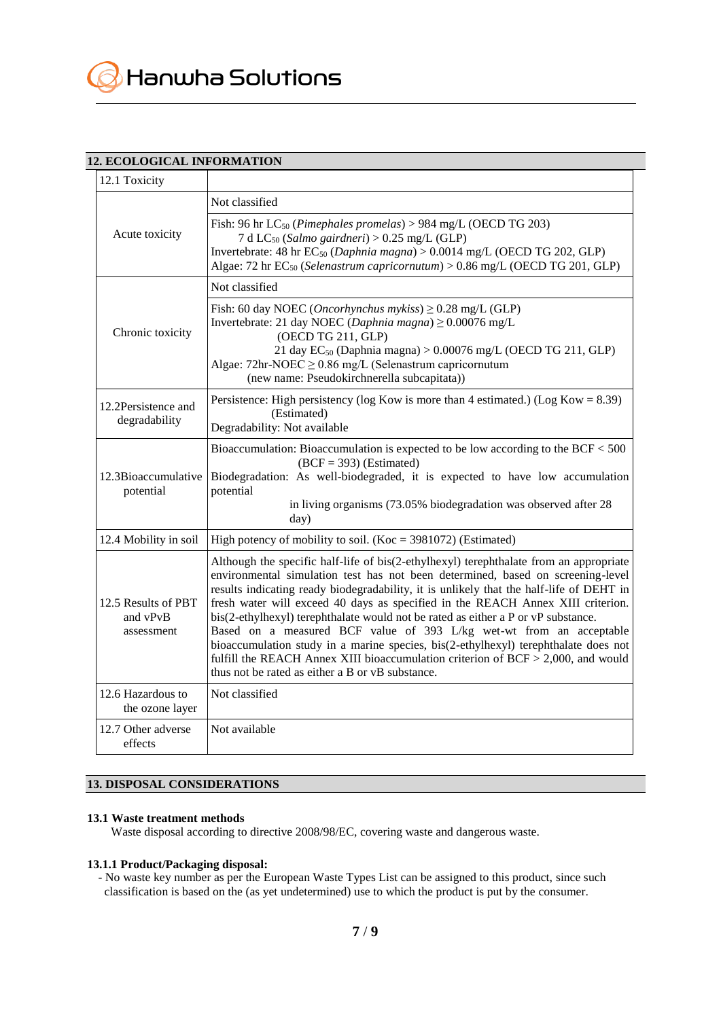# **12. ECOLOGICAL INFORMATION**

| 12.1 Toxicity                                 |                                                                                                                                                                                                                                                                                                                                                                                                                                                                                                                                                                                                                                                                                                                                                       |
|-----------------------------------------------|-------------------------------------------------------------------------------------------------------------------------------------------------------------------------------------------------------------------------------------------------------------------------------------------------------------------------------------------------------------------------------------------------------------------------------------------------------------------------------------------------------------------------------------------------------------------------------------------------------------------------------------------------------------------------------------------------------------------------------------------------------|
|                                               | Not classified                                                                                                                                                                                                                                                                                                                                                                                                                                                                                                                                                                                                                                                                                                                                        |
| Acute toxicity                                | Fish: 96 hr $LC_{50}$ (Pimephales promelas) > 984 mg/L (OECD TG 203)<br>7 d LC <sub>50</sub> (Salmo gairdneri) > 0.25 mg/L (GLP)<br>Invertebrate: 48 hr EC <sub>50</sub> (Daphnia magna) > 0.0014 mg/L (OECD TG 202, GLP)<br>Algae: 72 hr $EC_{50}$ (Selenastrum capricornutum) > 0.86 mg/L (OECD TG 201, GLP)                                                                                                                                                                                                                                                                                                                                                                                                                                        |
|                                               | Not classified                                                                                                                                                                                                                                                                                                                                                                                                                                                                                                                                                                                                                                                                                                                                        |
| Chronic toxicity                              | Fish: 60 day NOEC ( <i>Oncorhynchus mykiss</i> ) $\geq$ 0.28 mg/L (GLP)<br>Invertebrate: 21 day NOEC (Daphnia magna) $\geq$ 0.00076 mg/L<br>(OECD TG 211, GLP)<br>21 day EC <sub>50</sub> (Daphnia magna) > $0.00076$ mg/L (OECD TG 211, GLP)<br>Algae: $72$ hr-NOEC $\geq 0.86$ mg/L (Selenastrum capricornutum<br>(new name: Pseudokirchnerella subcapitata))                                                                                                                                                                                                                                                                                                                                                                                       |
| 12.2Persistence and<br>degradability          | Persistence: High persistency ( $log Kow$ is more than 4 estimated.) ( $Log Kow = 8.39$ )<br>(Estimated)<br>Degradability: Not available                                                                                                                                                                                                                                                                                                                                                                                                                                                                                                                                                                                                              |
| 12.3Bioaccumulative<br>potential              | Bioaccumulation: Bioaccumulation is expected to be low according to the BCF $<$ 500<br>$(BCF = 393)$ (Estimated)<br>Biodegradation: As well-biodegraded, it is expected to have low accumulation<br>potential<br>in living organisms (73.05% biodegradation was observed after 28<br>day)                                                                                                                                                                                                                                                                                                                                                                                                                                                             |
| 12.4 Mobility in soil                         | High potency of mobility to soil. (Koc = $3981072$ ) (Estimated)                                                                                                                                                                                                                                                                                                                                                                                                                                                                                                                                                                                                                                                                                      |
| 12.5 Results of PBT<br>and vPvB<br>assessment | Although the specific half-life of bis(2-ethylhexyl) terephthalate from an appropriate<br>environmental simulation test has not been determined, based on screening-level<br>results indicating ready biodegradability, it is unlikely that the half-life of DEHT in<br>fresh water will exceed 40 days as specified in the REACH Annex XIII criterion.<br>bis(2-ethylhexyl) terephthalate would not be rated as either a P or vP substance.<br>Based on a measured BCF value of 393 L/kg wet-wt from an acceptable<br>bioaccumulation study in a marine species, bis(2-ethylhexyl) terephthalate does not<br>fulfill the REACH Annex XIII bioaccumulation criterion of $BCF > 2,000$ , and would<br>thus not be rated as either a B or vB substance. |
| 12.6 Hazardous to<br>the ozone layer          | Not classified                                                                                                                                                                                                                                                                                                                                                                                                                                                                                                                                                                                                                                                                                                                                        |
| 12.7 Other adverse<br>effects                 | Not available                                                                                                                                                                                                                                                                                                                                                                                                                                                                                                                                                                                                                                                                                                                                         |

# **13. DISPOSAL CONSIDERATIONS**

# **13.1 Waste treatment methods**

Waste disposal according to directive 2008/98/EC, covering waste and dangerous waste.

## **13.1.1 Product/Packaging disposal:**

- No waste key number as per the European Waste Types List can be assigned to this product, since such classification is based on the (as yet undetermined) use to which the product is put by the consumer.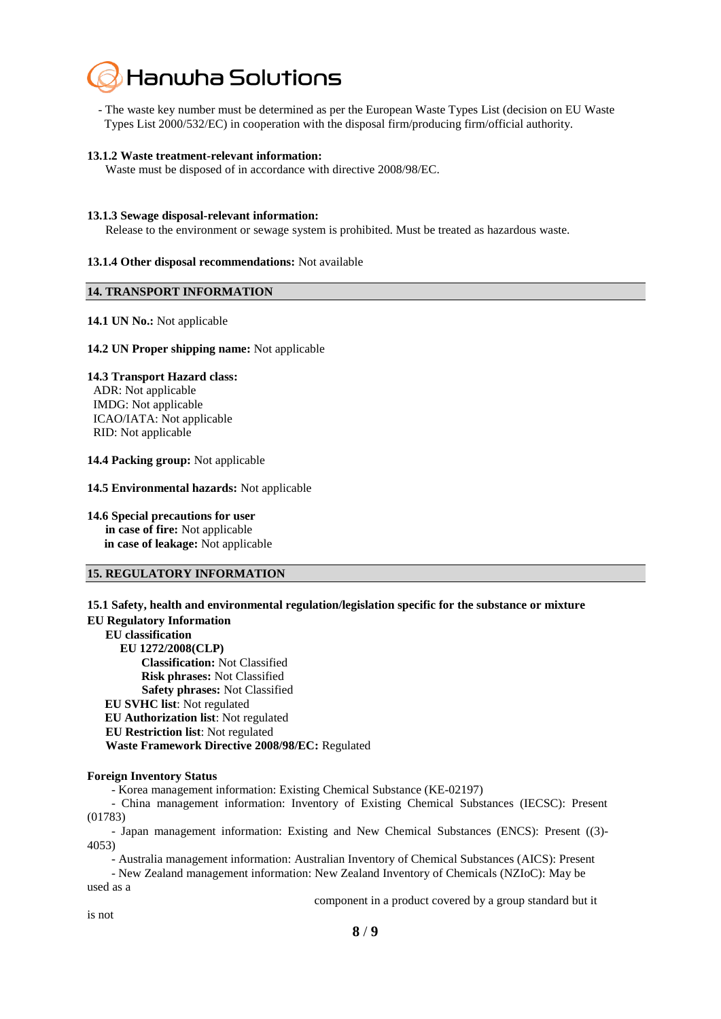

- The waste key number must be determined as per the European Waste Types List (decision on EU Waste Types List 2000/532/EC) in cooperation with the disposal firm/producing firm/official authority.

#### **13.1.2 Waste treatment-relevant information:**

Waste must be disposed of in accordance with directive 2008/98/EC.

#### **13.1.3 Sewage disposal-relevant information:**

Release to the environment or sewage system is prohibited. Must be treated as hazardous waste.

#### **13.1.4 Other disposal recommendations:** Not available

#### **14. TRANSPORT INFORMATION**

#### **14.1 UN No.:** Not applicable

#### **14.2 UN Proper shipping name:** Not applicable

#### **14.3 Transport Hazard class:**

ADR: Not applicable IMDG: Not applicable ICAO/IATA: Not applicable RID: Not applicable

**14.4 Packing group:** Not applicable

**14.5 Environmental hazards:** Not applicable

**14.6 Special precautions for user**

**in case of fire:** Not applicable **in case of leakage:** Not applicable

#### **15. REGULATORY INFORMATION**

**15.1 Safety, health and environmental regulation/legislation specific for the substance or mixture EU Regulatory Information EU classification EU 1272/2008(CLP) Classification:** Not Classified  **Risk phrases:** Not Classified  **Safety phrases:** Not Classified **EU SVHC list**: Not regulated **EU Authorization list**: Not regulated **EU Restriction list**: Not regulated  **Waste Framework Directive 2008/98/EC:** Regulated

## **Foreign Inventory Status**

- Korea management information: Existing Chemical Substance (KE-02197)

- China management information: Inventory of Existing Chemical Substances (IECSC): Present (01783)

- Japan management information: Existing and New Chemical Substances (ENCS): Present ((3)- 4053)

- Australia management information: Australian Inventory of Chemical Substances (AICS): Present

- New Zealand management information: New Zealand Inventory of Chemicals (NZIoC): May be used as a

component in a product covered by a group standard but it

is not